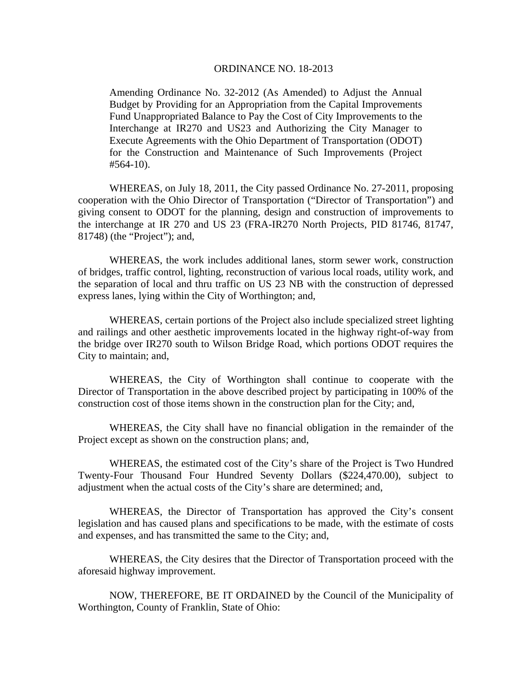## ORDINANCE NO. 18-2013

Amending Ordinance No. 32-2012 (As Amended) to Adjust the Annual Budget by Providing for an Appropriation from the Capital Improvements Fund Unappropriated Balance to Pay the Cost of City Improvements to the Interchange at IR270 and US23 and Authorizing the City Manager to Execute Agreements with the Ohio Department of Transportation (ODOT) for the Construction and Maintenance of Such Improvements (Project #564-10).

WHEREAS, on July 18, 2011, the City passed Ordinance No. 27-2011, proposing cooperation with the Ohio Director of Transportation ("Director of Transportation") and giving consent to ODOT for the planning, design and construction of improvements to the interchange at IR 270 and US 23 (FRA-IR270 North Projects, PID 81746, 81747, 81748) (the "Project"); and,

WHEREAS, the work includes additional lanes, storm sewer work, construction of bridges, traffic control, lighting, reconstruction of various local roads, utility work, and the separation of local and thru traffic on US 23 NB with the construction of depressed express lanes, lying within the City of Worthington; and,

WHEREAS, certain portions of the Project also include specialized street lighting and railings and other aesthetic improvements located in the highway right-of-way from the bridge over IR270 south to Wilson Bridge Road, which portions ODOT requires the City to maintain; and,

WHEREAS, the City of Worthington shall continue to cooperate with the Director of Transportation in the above described project by participating in 100% of the construction cost of those items shown in the construction plan for the City; and,

WHEREAS, the City shall have no financial obligation in the remainder of the Project except as shown on the construction plans; and,

WHEREAS, the estimated cost of the City's share of the Project is Two Hundred Twenty-Four Thousand Four Hundred Seventy Dollars (\$224,470.00), subject to adjustment when the actual costs of the City's share are determined; and,

WHEREAS, the Director of Transportation has approved the City's consent legislation and has caused plans and specifications to be made, with the estimate of costs and expenses, and has transmitted the same to the City; and,

WHEREAS, the City desires that the Director of Transportation proceed with the aforesaid highway improvement.

 NOW, THEREFORE, BE IT ORDAINED by the Council of the Municipality of Worthington, County of Franklin, State of Ohio: